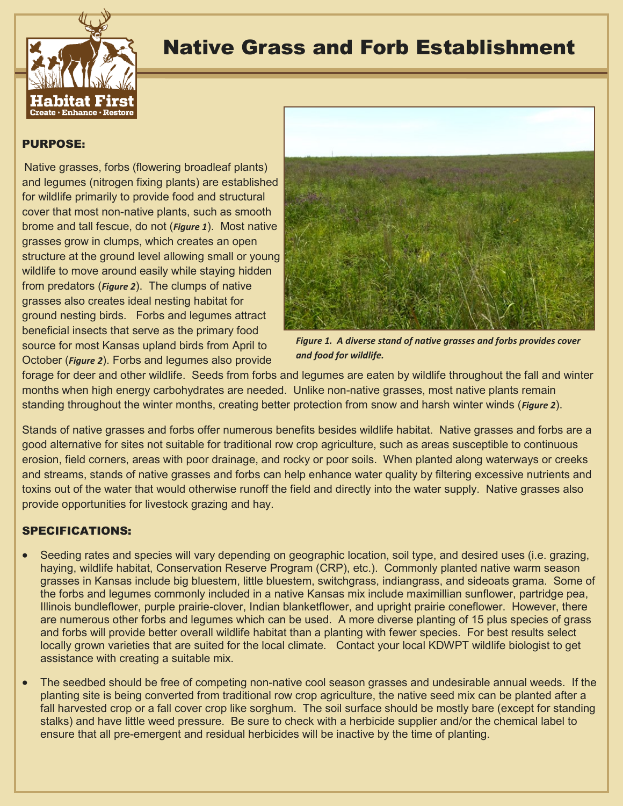

## Native Grass and Forb Establishment

## PURPOSE:

Native grasses, forbs (flowering broadleaf plants) and legumes (nitrogen fixing plants) are established for wildlife primarily to provide food and structural cover that most non-native plants, such as smooth brome and tall fescue, do not (*Figure 1*). Most native grasses grow in clumps, which creates an open structure at the ground level allowing small or young wildlife to move around easily while staying hidden from predators (*Figure 2*). The clumps of native grasses also creates ideal nesting habitat for ground nesting birds. Forbs and legumes attract beneficial insects that serve as the primary food source for most Kansas upland birds from April to October (*Figure 2*). Forbs and legumes also provide



*Figure 1. A diverse stand of native grasses and forbs provides cover and food for wildlife.*

forage for deer and other wildlife. Seeds from forbs and legumes are eaten by wildlife throughout the fall and winter months when high energy carbohydrates are needed. Unlike non-native grasses, most native plants remain standing throughout the winter months, creating better protection from snow and harsh winter winds (*Figure 2*).

Stands of native grasses and forbs offer numerous benefits besides wildlife habitat. Native grasses and forbs are a good alternative for sites not suitable for traditional row crop agriculture, such as areas susceptible to continuous erosion, field corners, areas with poor drainage, and rocky or poor soils. When planted along waterways or creeks and streams, stands of native grasses and forbs can help enhance water quality by filtering excessive nutrients and toxins out of the water that would otherwise runoff the field and directly into the water supply. Native grasses also provide opportunities for livestock grazing and hay.

## SPECIFICATIONS:

- Seeding rates and species will vary depending on geographic location, soil type, and desired uses (i.e. grazing, haying, wildlife habitat, Conservation Reserve Program (CRP), etc.). Commonly planted native warm season grasses in Kansas include big bluestem, little bluestem, switchgrass, indiangrass, and sideoats grama. Some of the forbs and legumes commonly included in a native Kansas mix include maximillian sunflower, partridge pea, Illinois bundleflower, purple prairie-clover, Indian blanketflower, and upright prairie coneflower. However, there are numerous other forbs and legumes which can be used. A more diverse planting of 15 plus species of grass and forbs will provide better overall wildlife habitat than a planting with fewer species. For best results select locally grown varieties that are suited for the local climate.Contact your local KDWPT wildlife biologist to get assistance with creating a suitable mix.
- The seedbed should be free of competing non-native cool season grasses and undesirable annual weeds. If the planting site is being converted from traditional row crop agriculture, the native seed mix can be planted after a fall harvested crop or a fall cover crop like sorghum. The soil surface should be mostly bare (except for standing stalks) and have little weed pressure. Be sure to check with a herbicide supplier and/or the chemical label to ensure that all pre-emergent and residual herbicides will be inactive by the time of planting.